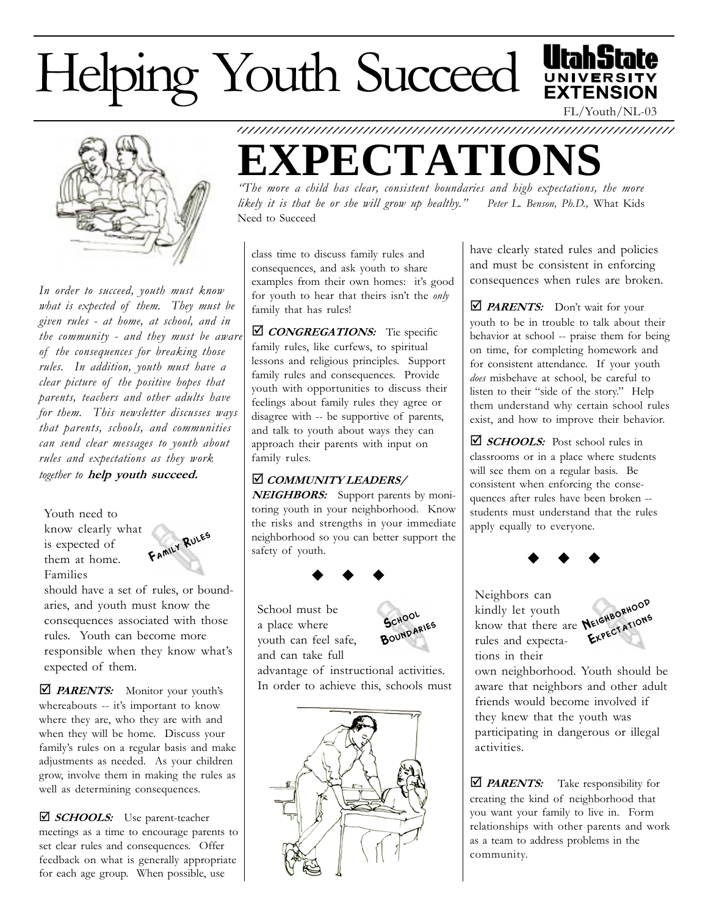# Helping Youth Succeed



In order to succeed, youth must know what is expected of them. They must be given rules - at home, at school, and in the community - and they must be aware of the consequences for breaking those rules. In addition, youth must have a clear picture of the positive hopes that parents, teachers and other adults have for them. This newsletter discusses ways that parents, schools, and communities can send clear messages to youth about rules and expectations as they work together to help youth succeed.

Youth need to know clearly what is expected of them at home. Families



should have a set of rules, or boundaries, and youth must know the consequences associated with those rules. Youth can become more responsible when they know what's expected of them.

 $\Box$  **PARENTS:** Monitor your youth's whereabouts -- it's important to know where they are, who they are with and when they will be home. Discuss your family's rules on a regular basis and make adjustments as needed. As your children grow, involve them in making the rules as well as determining consequences.

**□ SCHOOLS:** Use parent-teacher meetings as a time to encourage parents to set clear rules and consequences. Offer feedback on what is generally appropriate for each age group. When possible, use

1234567890123456789012345678901212345678901234567890123456789012123456789 **CTATIO** 

The more a child has clear, consistent boundaries and high expectations, the more likely it is that he or she will grow up healthy." Peter L. Benson, Ph.D., What Kids Need to Succeed

class time to discuss family rules and consequences, and ask youth to share examples from their own homes: it's good for youth to hear that theirs isn't the only family that has rules!

 $\Box$  CONGREGATIONS: Tie specific family rules, like curfews, to spiritual lessons and religious principles. Support family rules and consequences. Provide youth with opportunities to discuss their feelings about family rules they agree or disagree with -- be supportive of parents, and talk to youth about ways they can approach their parents with input on family rules.

#### þ COMMUNITY LEADERS/

NEIGHBORS: Support parents by monitoring youth in your neighborhood. Know the risks and strengths in your immediate neighborhood so you can better support the safety of youth.



School must be a place where youth can feel safe, and can take full



advantage of instructional activities. In order to achieve this, schools must



have clearly stated rules and policies and must be consistent in enforcing consequences when rules are broken.

FL/Youth/NL-03

**EXTENSION** 

 $\triangle$  **PARENTS:** Don't wait for your youth to be in trouble to talk about their behavior at school -- praise them for being on time, for completing homework and for consistent attendance. If your youth does misbehave at school, be careful to listen to their "side of the story." Help them understand why certain school rules exist, and how to improve their behavior.

 $\triangle$  SCHOOLS: Post school rules in classrooms or in a place where students will see them on a regular basis. Be consistent when enforcing the consequences after rules have been broken - students must understand that the rules apply equally to everyone.



Neighbors can kindly let youth know that there are rules and expectations in their



own neighborhood. Youth should be aware that neighbors and other adult friends would become involved if they knew that the youth was participating in dangerous or illegal activities.

 $\triangle$  **PARENTS:** Take responsibility for creating the kind of neighborhood that you want your family to live in. Form relationships with other parents and work as a team to address problems in the community.